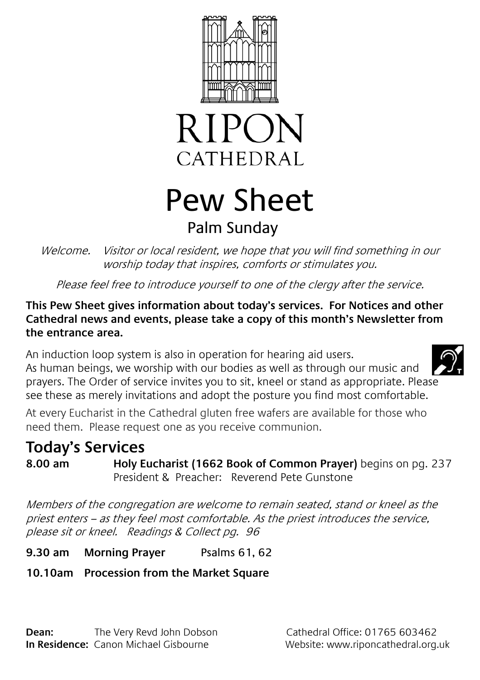



# Pew Sheet Palm Sunday

Welcome. Visitor or local resident, we hope that you will find something in our worship today that inspires, comforts or stimulates you.

Please feel free to introduce yourself to one of the clergy after the service.

#### **This Pew Sheet gives information about today's services. For Notices and other Cathedral news and events, please take a copy of this month's Newsletter from the entrance area.**

An induction loop system is also in operation for hearing aid users. As human beings, we worship with our bodies as well as through our music and prayers. The Order of service invites you to sit, kneel or stand as appropriate. Please see these as merely invitations and adopt the posture you find most comfortable.

At every Eucharist in the Cathedral gluten free wafers are available for those who need them. Please request one as you receive communion.

# **Today's Services**

**8.00 am Holy Eucharist (1662 Book of Common Prayer)** begins on pg. 237 President & Preacher: Reverend Pete Gunstone

Members of the congregation are welcome to remain seated, stand or kneel as the priest enters – as they feel most comfortable. As the priest introduces the service, please sit or kneel. Readings & Collect pg. 96

**9.30 am Morning Prayer** Psalms 61, 62

### **10.10am Procession from the Market Square**